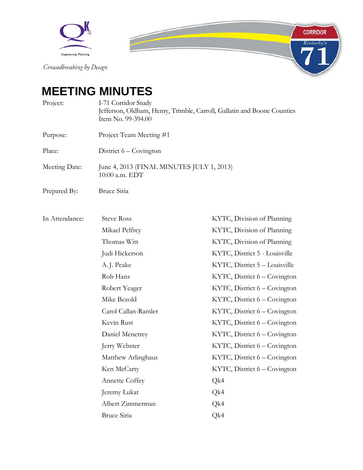

# **MEETING MINUTES**

Project: I-71 Corridor Study Jefferson, Oldham, Henry, Trimble, Carroll, Gallatin and Boone Counties Item No. 99-394.00

Purpose: Project Team Meeting #1

Place: District 6 – Covington

Meeting Date: June 4, 2013 (FINAL MINUTES JULY 1, 2013) 10:00 a.m. EDT

Prepared By: Bruce Siria

| In Attendance: | <b>Steve Ross</b>     | KYTC, Division of Planning    |
|----------------|-----------------------|-------------------------------|
|                | Mikael Pelfrey        | KYTC, Division of Planning    |
|                | Thomas Witt           | KYTC, Division of Planning    |
|                | Judi Hickerson        | KYTC, District 5 - Louisville |
|                | A.J. Peake            | KYTC, District 5 - Louisville |
|                | Rob Hans              | KYTC, District 6 - Covington  |
|                | Robert Yeager         | KYTC, District 6 – Covington  |
|                | Mike Bezold           | KYTC, District 6 – Covington  |
|                | Carol Callan-Ramler   | KYTC, District 6 – Covington  |
|                | Kevin Rust            | KYTC, District 6 - Covington  |
|                | Daniel Menetrey       | KYTC, District 6 – Covington  |
|                | Jerry Webster         | KYTC, District 6 – Covington  |
|                | Matthew Arlinghaus    | KYTC, District 6 - Covington  |
|                | Ken McCarty           | KYTC, District 6 – Covington  |
|                | <b>Annette Coffey</b> | Qk4                           |
|                | Jeremy Lukat          | Qk4                           |
|                | Albert Zimmerman      | Qk4                           |
|                | <b>Bruce Siria</b>    | Qk4                           |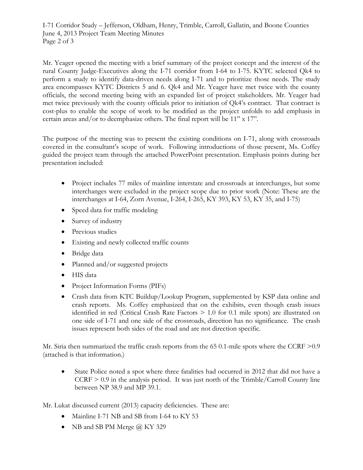I-71 Corridor Study – Jefferson, Oldham, Henry, Trimble, Carroll, Gallatin, and Boone Counties June 4, 2013 Project Team Meeting Minutes Page 2 of 3

Mr. Yeager opened the meeting with a brief summary of the project concept and the interest of the rural County Judge-Executives along the I-71 corridor from I-64 to I-75. KYTC selected Qk4 to perform a study to identify data-driven needs along I-71 and to prioritize those needs. The study area encompasses KYTC Districts 5 and 6. Qk4 and Mr. Yeager have met twice with the county officials, the second meeting being with an expanded list of project stakeholders. Mr. Yeager had met twice previously with the county officials prior to initiation of Qk4's contract. That contract is cost-plus to enable the scope of work to be modified as the project unfolds to add emphasis in certain areas and/or to deemphasize others. The final report will be 11" x 17".

The purpose of the meeting was to present the existing conditions on I-71, along with crossroads covered in the consultant's scope of work. Following introductions of those present, Ms. Coffey guided the project team through the attached PowerPoint presentation. Emphasis points during her presentation included:

- Project includes 77 miles of mainline interstate and crossroads at interchanges, but some interchanges were excluded in the project scope due to prior work (Note: These are the interchanges at I-64, Zorn Avenue, I-264, I-265, KY 393, KY 53, KY 35, and I-75)
- Speed data for traffic modeling
- Survey of industry
- Previous studies
- Existing and newly collected traffic counts
- Bridge data
- Planned and/or suggested projects
- HIS data
- Project Information Forms (PIFs)
- Crash data from KTC Buildup/Lookup Program, supplemented by KSP data online and crash reports. Ms. Coffey emphasized that on the exhibits, even though crash issues identified in red (Critical Crash Rate Factors > 1.0 for 0.1 mile spots) are illustrated on one side of I-71 and one side of the crossroads, direction has no significance. The crash issues represent both sides of the road and are not direction specific.

Mr. Siria then summarized the traffic crash reports from the 65 0.1-mile spots where the CCRF  $>0.9$ (attached is that information.)

• State Police noted a spot where three fatalities had occurred in 2012 that did not have a  $CCRF > 0.9$  in the analysis period. It was just north of the Trimble/Carroll County line between NP 38.9 and MP 39.1.

Mr. Lukat discussed current (2013) capacity deficiencies. These are:

- Mainline I-71 NB and SB from I-64 to KY 53
- NB and SB PM Merge @ KY 329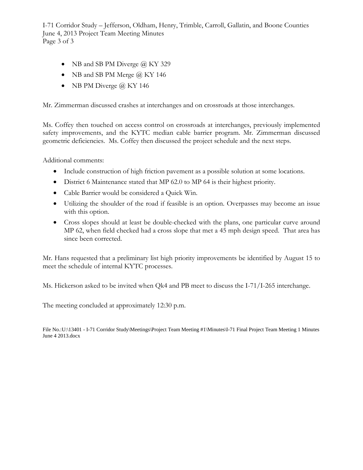I-71 Corridor Study – Jefferson, Oldham, Henry, Trimble, Carroll, Gallatin, and Boone Counties June 4, 2013 Project Team Meeting Minutes Page 3 of 3

- NB and SB PM Diverge  $@$  KY 329
- NB and SB PM Merge @ KY 146
- NB PM Diverge  $\omega$  KY 146

Mr. Zimmerman discussed crashes at interchanges and on crossroads at those interchanges.

Ms. Coffey then touched on access control on crossroads at interchanges, previously implemented safety improvements, and the KYTC median cable barrier program. Mr. Zimmerman discussed geometric deficiencies. Ms. Coffey then discussed the project schedule and the next steps.

Additional comments:

- Include construction of high friction pavement as a possible solution at some locations.
- District 6 Maintenance stated that MP 62.0 to MP 64 is their highest priority.
- Cable Barrier would be considered a Quick Win.
- Utilizing the shoulder of the road if feasible is an option. Overpasses may become an issue with this option.
- Cross slopes should at least be double-checked with the plans, one particular curve around MP 62, when field checked had a cross slope that met a 45 mph design speed. That area has since been corrected.

Mr. Hans requested that a preliminary list high priority improvements be identified by August 15 to meet the schedule of internal KYTC processes.

Ms. Hickerson asked to be invited when Qk4 and PB meet to discuss the I-71/I-265 interchange.

The meeting concluded at approximately 12:30 p.m.

File No.:U:\13401 - I-71 Corridor Study\Meetings\Project Team Meeting #1\Minutes\I-71 Final Project Team Meeting 1 Minutes June 4 2013.docx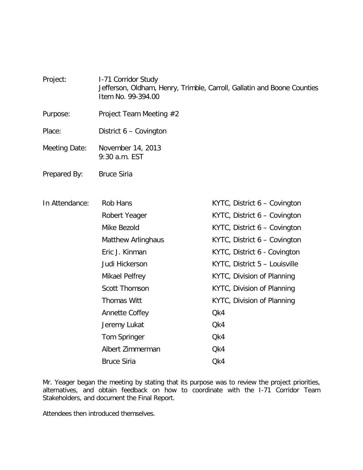Project: I-71 Corridor Study Jefferson, Oldham, Henry, Trimble, Carroll, Gallatin and Boone Counties Item No. 99-394.00

- Purpose: Project Team Meeting #2
- Place: District 6 Covington
- Meeting Date: November 14, 2013 9:30 a.m. EST
- Prepared By: Bruce Siria

| In Attendance: | Rob Hans                  | KYTC, District 6 – Covington  |
|----------------|---------------------------|-------------------------------|
|                | Robert Yeager             | KYTC, District 6 – Covington  |
|                | Mike Bezold               | KYTC, District 6 – Covington  |
|                | <b>Matthew Arlinghaus</b> | KYTC, District 6 - Covington  |
|                | Eric J. Kinman            | KYTC, District 6 - Covington  |
|                | Judi Hickerson            | KYTC, District 5 - Louisville |
|                | Mikael Pelfrey            | KYTC, Division of Planning    |
|                | <b>Scott Thomson</b>      | KYTC, Division of Planning    |
|                | <b>Thomas Witt</b>        | KYTC, Division of Planning    |
|                | Annette Coffey            | Qk4                           |
|                | Jeremy Lukat              | Qk4                           |
|                | Tom Springer              | Qk4                           |
|                | Albert Zimmerman          | Qk4                           |
|                | <b>Bruce Siria</b>        | Qk4                           |

Mr. Yeager began the meeting by stating that its purpose was to review the project priorities, alternatives, and obtain feedback on how to coordinate with the I-71 Corridor Team Stakeholders, and document the Final Report.

Attendees then introduced themselves.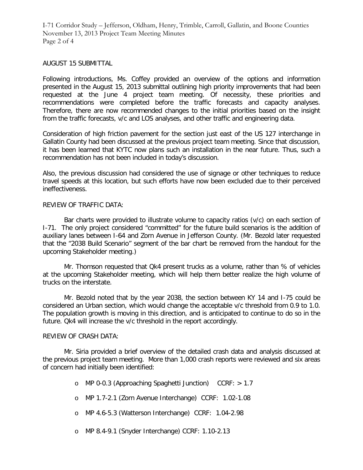I-71 Corridor Study – Jefferson, Oldham, Henry, Trimble, Carroll, Gallatin, and Boone Counties November 13, 2013 Project Team Meeting Minutes Page 2 of 4

#### AUGUST 15 SUBMITTAL

Following introductions, Ms. Coffey provided an overview of the options and information presented in the August 15, 2013 submittal outlining high priority improvements that had been requested at the June 4 project team meeting. Of necessity, these priorities and recommendations were completed before the traffic forecasts and capacity analyses. Therefore, there are now recommended changes to the initial priorities based on the insight from the traffic forecasts, v/c and LOS analyses, and other traffic and engineering data.

Consideration of high friction pavement for the section just east of the US 127 interchange in Gallatin County had been discussed at the previous project team meeting. Since that discussion, it has been learned that KYTC now plans such an installation in the near future. Thus, such a recommendation has not been included in today's discussion.

Also, the previous discussion had considered the use of signage or other techniques to reduce travel speeds at this location, but such efforts have now been excluded due to their perceived ineffectiveness.

## REVIEW OF TRAFFIC DATA:

Bar charts were provided to illustrate volume to capacity ratios (v/c) on each section of I-71. The only project considered "committed" for the future build scenarios is the addition of auxiliary lanes between I-64 and Zorn Avenue in Jefferson County. (Mr. Bezold later requested that the "2038 Build Scenario" segment of the bar chart be removed from the handout for the upcoming Stakeholder meeting.)

Mr. Thomson requested that Qk4 present trucks as a volume, rather than % of vehicles at the upcoming Stakeholder meeting, which will help them better realize the high volume of trucks on the interstate.

Mr. Bezold noted that by the year 2038, the section between KY 14 and I-75 could be considered an Urban section, which would change the acceptable v/c threshold from 0.9 to 1.0. The population growth is moving in this direction, and is anticipated to continue to do so in the future. Qk4 will increase the v/c threshold in the report accordingly.

#### REVIEW OF CRASH DATA:

Mr. Siria provided a brief overview of the detailed crash data and analysis discussed at the previous project team meeting. More than 1,000 crash reports were reviewed and six areas of concern had initially been identified:

- o MP 0-0.3 (Approaching Spaghetti Junction) CCRF: > 1.7
- o MP 1.7-2.1 (Zorn Avenue Interchange) CCRF: 1.02-1.08
- o MP 4.6-5.3 (Watterson Interchange) CCRF: 1.04-2.98
- o MP 8.4-9.1 (Snyder Interchange) CCRF: 1.10-2.13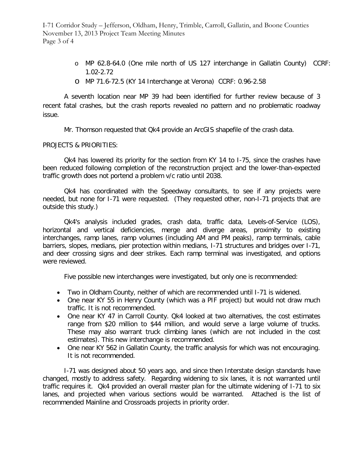I-71 Corridor Study – Jefferson, Oldham, Henry, Trimble, Carroll, Gallatin, and Boone Counties November 13, 2013 Project Team Meeting Minutes Page 3 of 4

- o MP 62.8-64.0 (One mile north of US 127 interchange in Gallatin County) CCRF: 1.02-2.72
- o MP 71.6-72.5 (KY 14 Interchange at Verona) CCRF: 0.96-2.58

A seventh location near MP 39 had been identified for further review because of 3 recent fatal crashes, but the crash reports revealed no pattern and no problematic roadway issue.

Mr. Thomson requested that Qk4 provide an ArcGIS shapefile of the crash data.

# PROJECTS & PRIORITIES:

Qk4 has lowered its priority for the section from KY 14 to I-75, since the crashes have been reduced following completion of the reconstruction project and the lower-than-expected traffic growth does not portend a problem v/c ratio until 2038.

Qk4 has coordinated with the Speedway consultants, to see if any projects were needed, but none for I-71 were requested. (They requested other, non-I-71 projects that are outside this study.)

Qk4's analysis included grades, crash data, traffic data, Levels-of-Service (LOS), horizontal and vertical deficiencies, merge and diverge areas, proximity to existing interchanges, ramp lanes, ramp volumes (including AM and PM peaks), ramp terminals, cable barriers, slopes, medians, pier protection within medians, I-71 structures and bridges over I-71, and deer crossing signs and deer strikes. Each ramp terminal was investigated, and options were reviewed.

Five possible new interchanges were investigated, but only one is recommended:

- Two in Oldham County, neither of which are recommended until I-71 is widened.
- One near KY 55 in Henry County (which was a PIF project) but would not draw much traffic. It is not recommended.
- One near KY 47 in Carroll County. Qk4 looked at two alternatives, the cost estimates range from \$20 million to \$44 million, and would serve a large volume of trucks. These may also warrant truck climbing lanes (which are not included in the cost estimates). This new interchange is recommended.
- One near KY 562 in Gallatin County, the traffic analysis for which was not encouraging. It is not recommended.

I-71 was designed about 50 years ago, and since then Interstate design standards have changed, mostly to address safety. Regarding widening to six lanes, it is not warranted until traffic requires it. Qk4 provided an overall master plan for the ultimate widening of I-71 to six lanes, and projected when various sections would be warranted. Attached is the list of recommended Mainline and Crossroads projects in priority order.